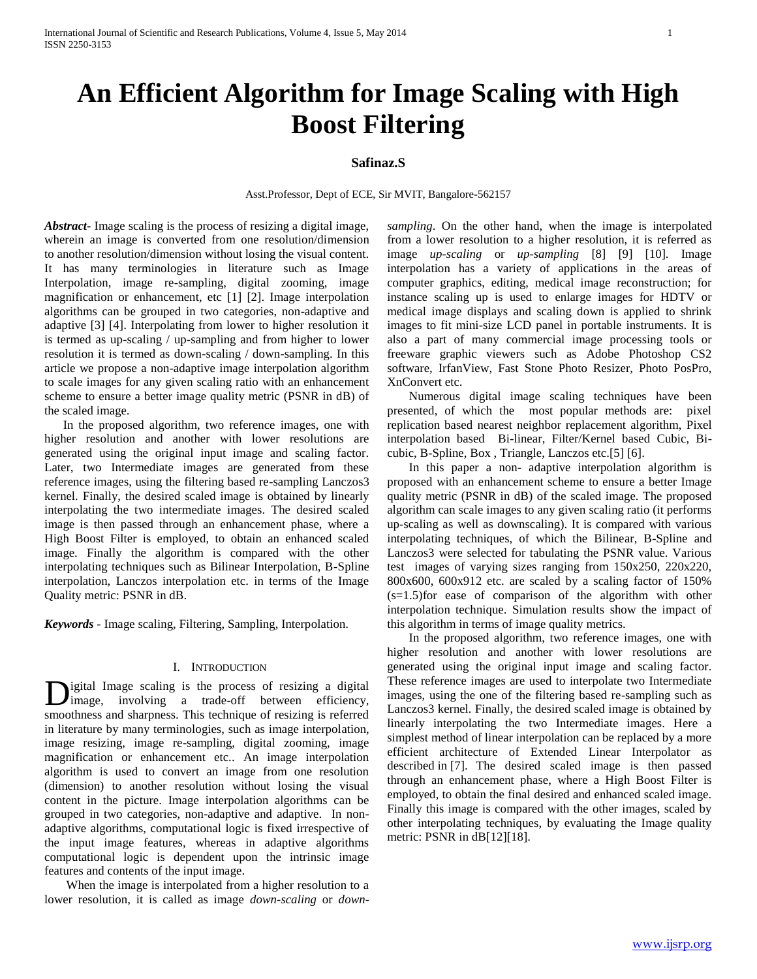# **An Efficient Algorithm for Image Scaling with High Boost Filtering**

# **Safinaz.S**

Asst.Professor, Dept of ECE, Sir MVIT, Bangalore-562157

*Abstract***-** Image scaling is the process of resizing a digital image, wherein an image is converted from one resolution/dimension to another resolution/dimension without losing the visual content. It has many terminologies in literature such as Image Interpolation, image re-sampling, digital zooming, image magnification or enhancement, etc [1] [2]. Image interpolation algorithms can be grouped in two categories, non-adaptive and adaptive [3] [4]. Interpolating from lower to higher resolution it is termed as up-scaling / up-sampling and from higher to lower resolution it is termed as down-scaling / down-sampling. In this article we propose a non-adaptive image interpolation algorithm to scale images for any given scaling ratio with an enhancement scheme to ensure a better image quality metric (PSNR in dB) of the scaled image.

 In the proposed algorithm, two reference images, one with higher resolution and another with lower resolutions are generated using the original input image and scaling factor. Later, two Intermediate images are generated from these reference images, using the filtering based re-sampling Lanczos3 kernel. Finally, the desired scaled image is obtained by linearly interpolating the two intermediate images. The desired scaled image is then passed through an enhancement phase, where a High Boost Filter is employed, to obtain an enhanced scaled image. Finally the algorithm is compared with the other interpolating techniques such as Bilinear Interpolation, B-Spline interpolation, Lanczos interpolation etc. in terms of the Image Quality metric: PSNR in dB.

*Keywords -* Image scaling, Filtering, Sampling, Interpolation.

# I. INTRODUCTION

igital Image scaling is the process of resizing a digital image, involving a trade-off between efficiency, Digital Image scaling is the process of resizing a digital image, involving a trade-off between efficiency, smoothness and sharpness. This technique of resizing is referred in literature by many terminologies, such as image interpolation, image resizing, image re-sampling, digital zooming, image magnification or enhancement etc.. An image interpolation algorithm is used to convert an image from one resolution (dimension) to another resolution without losing the visual content in the picture. Image interpolation algorithms can be grouped in two categories, non-adaptive and adaptive. In nonadaptive algorithms, computational logic is fixed irrespective of the input image features, whereas in adaptive algorithms computational logic is dependent upon the intrinsic image features and contents of the input image.

 When the image is interpolated from a higher resolution to a lower resolution, it is called as image *down-scaling* or *down-* *sampling*. On the other hand, when the image is interpolated from a lower resolution to a higher resolution, it is referred as image *up-scaling* or *up-sampling* [8] [9] [10]. Image interpolation has a variety of applications in the areas of computer graphics, editing, medical image reconstruction; for instance scaling up is used to enlarge images for HDTV or medical image displays and scaling down is applied to shrink images to fit mini-size LCD panel in portable instruments. It is also a part of many commercial image processing tools or freeware graphic viewers such as Adobe Photoshop CS2 software, IrfanView, Fast Stone Photo Resizer, Photo PosPro, XnConvert etc.

 Numerous digital image scaling techniques have been presented, of which the most popular methods are: pixel replication based nearest neighbor replacement algorithm, Pixel interpolation based Bi-linear, Filter/Kernel based Cubic, Bicubic, B-Spline, Box , Triangle, Lanczos etc.[5] [6].

 In this paper a non- adaptive interpolation algorithm is proposed with an enhancement scheme to ensure a better Image quality metric (PSNR in dB) of the scaled image. The proposed algorithm can scale images to any given scaling ratio (it performs up-scaling as well as downscaling). It is compared with various interpolating techniques, of which the Bilinear, B-Spline and Lanczos3 were selected for tabulating the PSNR value. Various test images of varying sizes ranging from 150x250, 220x220, 800x600, 600x912 etc. are scaled by a scaling factor of 150% (s=1.5)for ease of comparison of the algorithm with other interpolation technique. Simulation results show the impact of this algorithm in terms of image quality metrics.

 In the proposed algorithm, two reference images, one with higher resolution and another with lower resolutions are generated using the original input image and scaling factor. These reference images are used to interpolate two Intermediate images, using the one of the filtering based re-sampling such as Lanczos3 kernel. Finally, the desired scaled image is obtained by linearly interpolating the two Intermediate images. Here a simplest method of linear interpolation can be replaced by a more efficient architecture of Extended Linear Interpolator as described in [7]. The desired scaled image is then passed through an enhancement phase, where a High Boost Filter is employed, to obtain the final desired and enhanced scaled image. Finally this image is compared with the other images, scaled by other interpolating techniques, by evaluating the Image quality metric: PSNR in dB[12][18].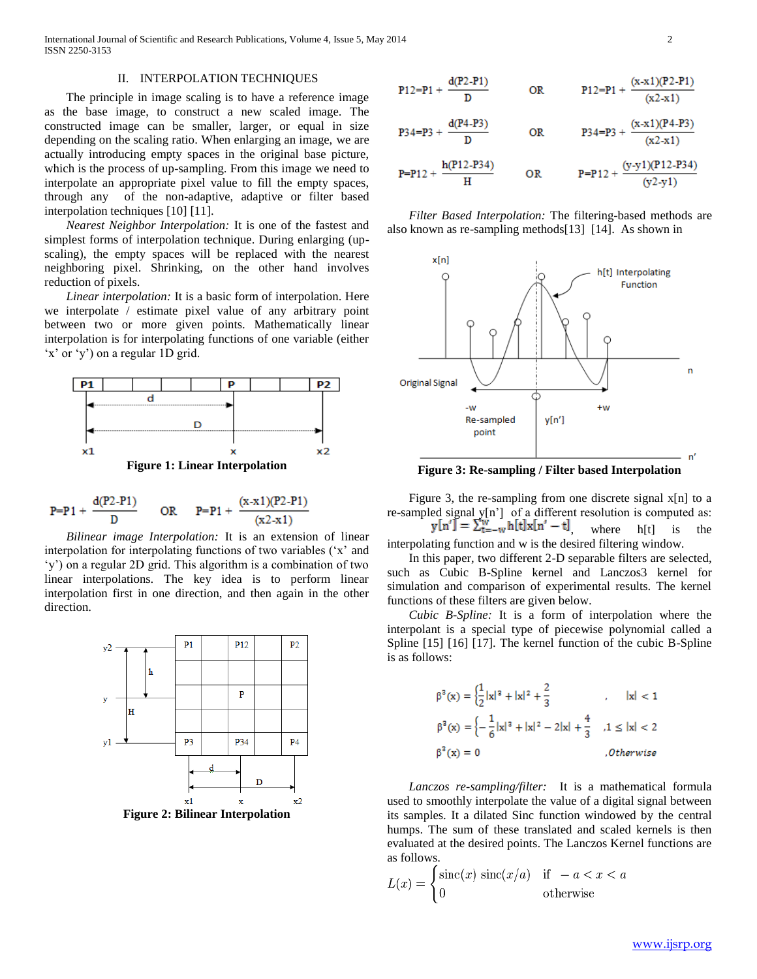International Journal of Scientific and Research Publications, Volume 4, Issue 5, May 2014 2 ISSN 2250-3153

### II. INTERPOLATION TECHNIQUES

 The principle in image scaling is to have a reference image as the base image, to construct a new scaled image. The constructed image can be smaller, larger, or equal in size depending on the scaling ratio. When enlarging an image, we are actually introducing empty spaces in the original base picture, which is the process of up-sampling. From this image we need to interpolate an appropriate pixel value to fill the empty spaces, through any of the non-adaptive, adaptive or filter based interpolation techniques [10] [11].

 *Nearest Neighbor Interpolation:* It is one of the fastest and simplest forms of interpolation technique. During enlarging (upscaling), the empty spaces will be replaced with the nearest neighboring pixel. Shrinking, on the other hand involves reduction of pixels.

 *Linear interpolation:* It is a basic form of interpolation. Here we interpolate / estimate pixel value of any arbitrary point between two or more given points. Mathematically linear interpolation is for interpolating functions of one variable (either 'x' or 'y') on a regular 1D grid.



$$
P = P1 + \frac{d(P2 - P1)}{D} \qquad OR \qquad P = P1 + \frac{(x - x1)(P2 - P1)}{(x2 - x1)}
$$

 *Bilinear image Interpolation:* It is an extension of linear interpolation for interpolating functions of two variables ('x' and 'y') on a regular 2D grid. This algorithm is a combination of two linear interpolations. The key idea is to perform linear interpolation first in one direction, and then again in the other direction.





 *Filter Based Interpolation:* The filtering-based methods are also known as re-sampling methods[13] [14]. As shown in



**Figure 3: Re-sampling / Filter based Interpolation**

Figure 3, the re-sampling from one discrete signal  $x[n]$  to a re-sampled signal y[n'] of a different resolution is computed as:  $y[n'] = \sum_{t=-w}^{w} h[t]x[n'-t]$ , where  $h[t]$  is the

interpolating function and w is the desired filtering window.

 In this paper, two different 2-D separable filters are selected, such as Cubic B-Spline kernel and Lanczos3 kernel for simulation and comparison of experimental results. The kernel functions of these filters are given below.

 *Cubic B-Spline:* It is a form of interpolation where the interpolant is a special type of piecewise polynomial called a Spline [15] [16] [17]. The kernel function of the cubic B-Spline is as follows:

$$
\beta^{2}(x) = \left\{\frac{1}{2}|x|^{3} + |x|^{2} + \frac{2}{3} \right\} , \quad |x| < 1
$$
  

$$
\beta^{2}(x) = \left\{-\frac{1}{6}|x|^{3} + |x|^{2} - 2|x| + \frac{4}{3} \right\} , 1 \leq |x| < 2
$$
  

$$
\beta^{2}(x) = 0 \qquad \qquad . Otherwise
$$

 *Lanczos re-sampling/filter:* It is a mathematical formula used to smoothly interpolate the value of a digital signal between its samples. It a dilated Sinc function windowed by the central humps. The sum of these translated and scaled kernels is then evaluated at the desired points. The Lanczos Kernel functions are as follows.

$$
L(x) = \begin{cases} \text{sinc}(x) \, \text{sinc}(x/a) & \text{if } -a < x < a \\ 0 & \text{otherwise} \end{cases}
$$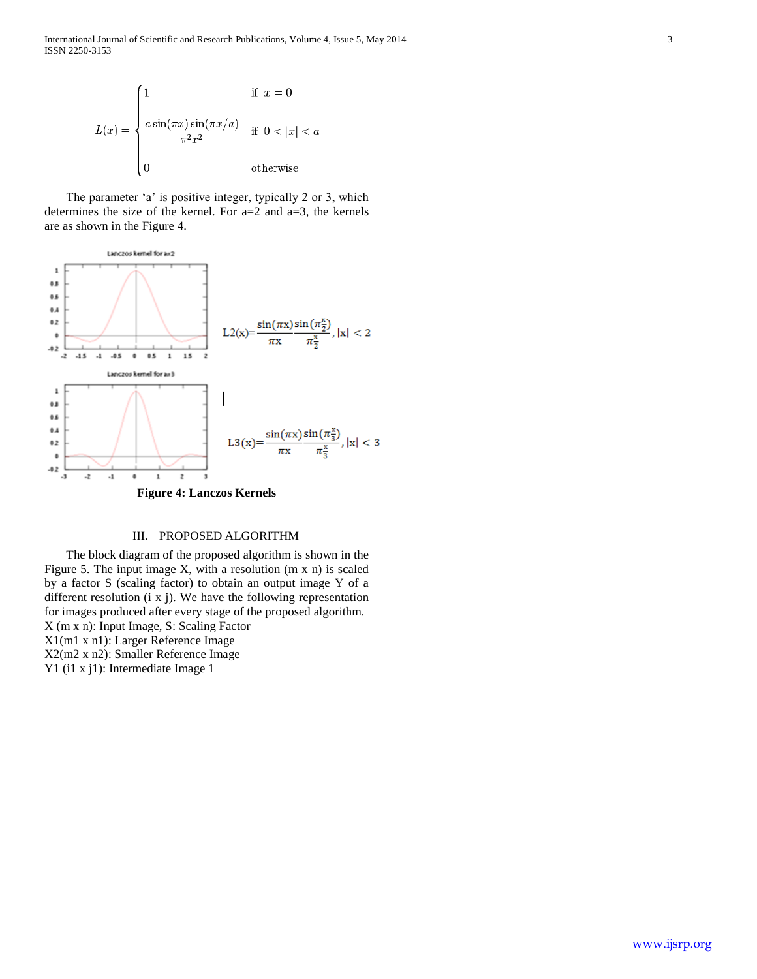International Journal of Scientific and Research Publications, Volume 4, Issue 5, May 2014 3 ISSN 2250-3153



 The parameter 'a' is positive integer, typically 2 or 3, which determines the size of the kernel. For  $a=2$  and  $a=3$ , the kernels are as shown in the Figure 4.



#### III. PROPOSED ALGORITHM

 The block diagram of the proposed algorithm is shown in the Figure 5. The input image X, with a resolution (m x n) is scaled by a factor S (scaling factor) to obtain an output image Y of a different resolution (i x j). We have the following representation for images produced after every stage of the proposed algorithm. X (m x n): Input Image, S: Scaling Factor X1(m1 x n1): Larger Reference Image X2(m2 x n2): Smaller Reference Image Y1 (i1 x j1): Intermediate Image 1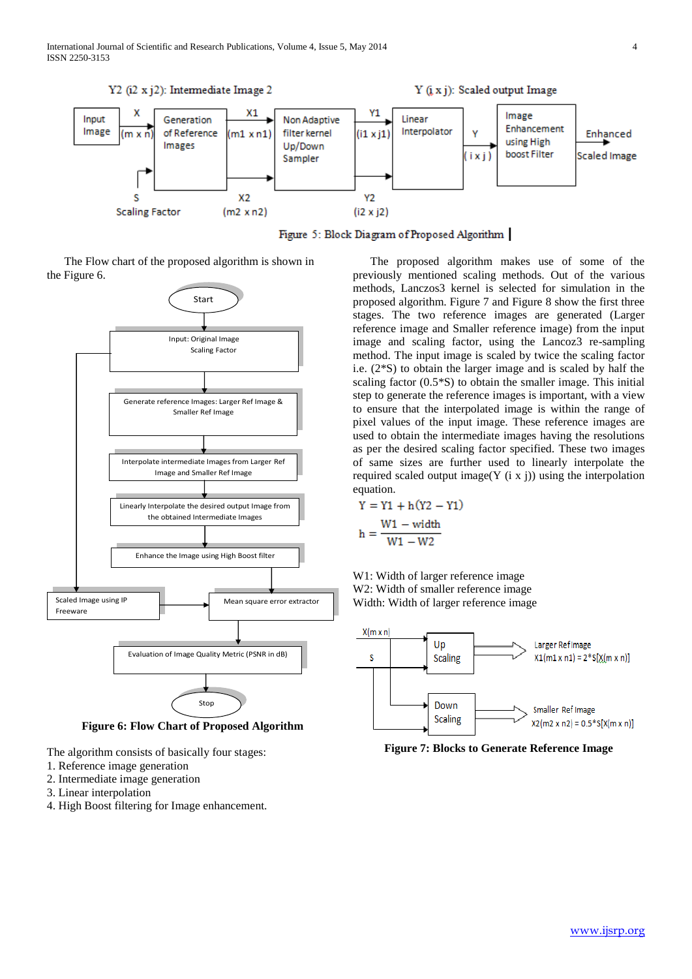International Journal of Scientific and Research Publications, Volume 4, Issue 5, May 2014 4 ISSN 2250-3153



Figure 5: Block Diagram of Proposed Algorithm

 The Flow chart of the proposed algorithm is shown in the Figure 6.



**Figure 6: Flow Chart of Proposed Algorithm**

- The algorithm consists of basically four stages:
- 1. Reference image generation
- 2. Intermediate image generation
- 3. Linear interpolation
- 4. High Boost filtering for Image enhancement.

 The proposed algorithm makes use of some of the previously mentioned scaling methods. Out of the various methods, Lanczos3 kernel is selected for simulation in the proposed algorithm. Figure 7 and Figure 8 show the first three stages. The two reference images are generated (Larger reference image and Smaller reference image) from the input image and scaling factor, using the Lancoz3 re-sampling method. The input image is scaled by twice the scaling factor i.e. (2\*S) to obtain the larger image and is scaled by half the scaling factor (0.5\*S) to obtain the smaller image. This initial step to generate the reference images is important, with a view to ensure that the interpolated image is within the range of pixel values of the input image. These reference images are used to obtain the intermediate images having the resolutions as per the desired scaling factor specified. These two images of same sizes are further used to linearly interpolate the required scaled output image(Y  $(i \times j)$ ) using the interpolation equation.

$$
Y = Y1 + h(Y2 - Y1)
$$

$$
h = \frac{W1 - width}{W1 - W2}
$$

W1: Width of larger reference image W2: Width of smaller reference image Width: Width of larger reference image



**Figure 7: Blocks to Generate Reference Image**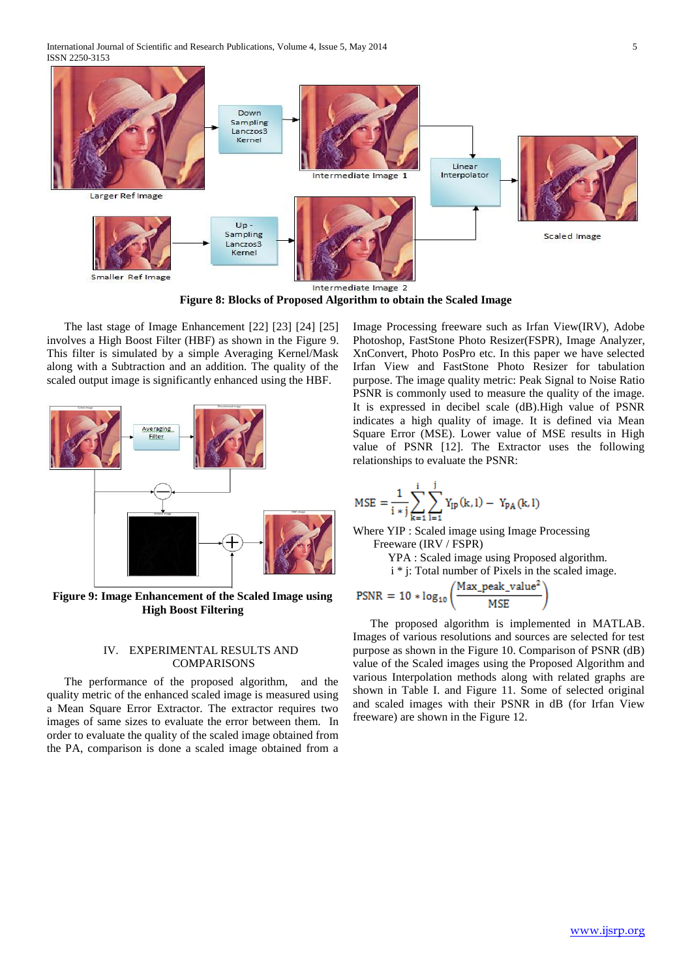International Journal of Scientific and Research Publications, Volume 4, Issue 5, May 2014 5 ISSN 2250-3153



**Figure 8: Blocks of Proposed Algorithm to obtain the Scaled Image**

 The last stage of Image Enhancement [22] [23] [24] [25] involves a High Boost Filter (HBF) as shown in the Figure 9. This filter is simulated by a simple Averaging Kernel/Mask along with a Subtraction and an addition. The quality of the scaled output image is significantly enhanced using the HBF.



**Figure 9: Image Enhancement of the Scaled Image using High Boost Filtering**

## IV. EXPERIMENTAL RESULTS AND **COMPARISONS**

 The performance of the proposed algorithm, and the quality metric of the enhanced scaled image is measured using a Mean Square Error Extractor. The extractor requires two images of same sizes to evaluate the error between them. In order to evaluate the quality of the scaled image obtained from the PA, comparison is done a scaled image obtained from a Image Processing freeware such as Irfan View(IRV), Adobe Photoshop, FastStone Photo Resizer(FSPR), Image Analyzer, XnConvert, Photo PosPro etc. In this paper we have selected Irfan View and FastStone Photo Resizer for tabulation purpose. The image quality metric: Peak Signal to Noise Ratio PSNR is commonly used to measure the quality of the image. It is expressed in decibel scale (dB).High value of PSNR indicates a high quality of image. It is defined via Mean Square Error (MSE). Lower value of MSE results in High value of PSNR [12]. The Extractor uses the following relationships to evaluate the PSNR:

$$
MSE = \!\frac{1}{i * j} \!\sum_{k=1}^i \sum_{l=1}^j Y_{IP}(k,l) - \, Y_{PA}(k,l)
$$

Where YIP : Scaled image using Image Processing Freeware (IRV / FSPR)

YPA : Scaled image using Proposed algorithm.

i \* j: Total number of Pixels in the scaled image.

$$
PSNR = 10 * log_{10} \left( \frac{Max\_peak\_value^2}{MSE} \right)
$$

 The proposed algorithm is implemented in MATLAB. Images of various resolutions and sources are selected for test purpose as shown in the Figure 10. Comparison of PSNR (dB) value of the Scaled images using the Proposed Algorithm and various Interpolation methods along with related graphs are shown in Table I. and Figure 11. Some of selected original and scaled images with their PSNR in dB (for Irfan View freeware) are shown in the Figure 12.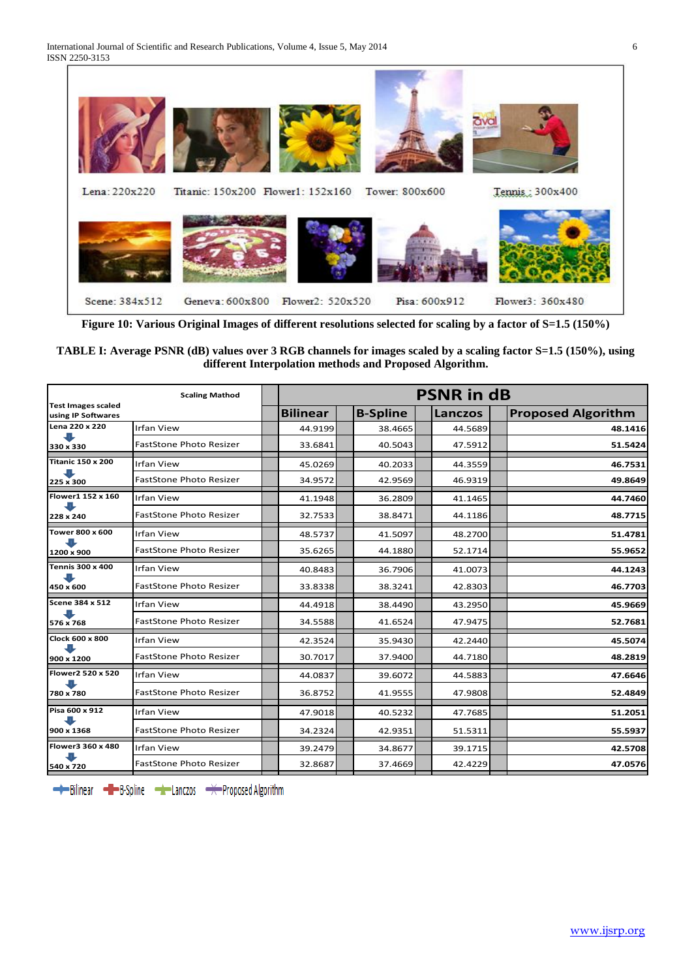

**Figure 10: Various Original Images of different resolutions selected for scaling by a factor of S=1.5 (150%)**

# **TABLE I: Average PSNR (dB) values over 3 RGB channels for images scaled by a scaling factor S=1.5 (150%), using different Interpolation methods and Proposed Algorithm.**

|                                                 | <b>PSNR in dB</b>              |                 |  |                 |  |                |  |                           |
|-------------------------------------------------|--------------------------------|-----------------|--|-----------------|--|----------------|--|---------------------------|
| <b>Test Images scaled</b><br>using IP Softwares |                                | <b>Bilinear</b> |  | <b>B-Spline</b> |  | <b>Lanczos</b> |  | <b>Proposed Algorithm</b> |
| Lena 220 x 220<br>330 x 330                     | <b>Irfan View</b>              | 44.9199         |  | 38.4665         |  | 44.5689        |  | 48.1416                   |
|                                                 | <b>FastStone Photo Resizer</b> | 33.6841         |  | 40.5043         |  | 47.5912        |  | 51.5424                   |
| <b>Titanic 150 x 200</b><br>225 x 300           | <b>Irfan View</b>              | 45.0269         |  | 40.2033         |  | 44.3559        |  | 46.7531                   |
|                                                 | <b>FastStone Photo Resizer</b> | 34.9572         |  | 42.9569         |  | 46.9319        |  | 49.8649                   |
| Flower1 152 x 160<br>228 x 240                  | <b>Irfan View</b>              | 41.1948         |  | 36.2809         |  | 41.1465        |  | 44.7460                   |
|                                                 | <b>FastStone Photo Resizer</b> | 32.7533         |  | 38.8471         |  | 44.1186        |  | 48.7715                   |
| Tower 800 x 600<br>1200 x 900                   | <b>Irfan View</b>              | 48.5737         |  | 41.5097         |  | 48.2700        |  | 51.4781                   |
|                                                 | <b>FastStone Photo Resizer</b> | 35.6265         |  | 44.1880         |  | 52.1714        |  | 55.9652                   |
| <b>Tennis 300 x 400</b><br>450 x 600            | <b>Irfan View</b>              | 40.8483         |  | 36.7906         |  | 41.0073        |  | 44.1243                   |
|                                                 | <b>FastStone Photo Resizer</b> | 33.8338         |  | 38.3241         |  | 42.8303        |  | 46.7703                   |
| Scene 384 x 512<br>576 x 768                    | <b>Irfan View</b>              | 44.4918         |  | 38.4490         |  | 43.2950        |  | 45.9669                   |
|                                                 | <b>FastStone Photo Resizer</b> | 34.5588         |  | 41.6524         |  | 47.9475        |  | 52.7681                   |
| Clock 600 x 800                                 | <b>Irfan View</b>              | 42.3524         |  | 35.9430         |  | 42.2440        |  | 45.5074                   |
| 900 x 1200                                      | <b>FastStone Photo Resizer</b> | 30.7017         |  | 37.9400         |  | 44.7180        |  | 48.2819                   |
| Flower2 520 x 520<br>780 x 780                  | <b>Irfan View</b>              | 44.0837         |  | 39.6072         |  | 44.5883        |  | 47.6646                   |
|                                                 | <b>FastStone Photo Resizer</b> | 36.8752         |  | 41.9555         |  | 47.9808        |  | 52.4849                   |
| Pisa 600 x 912<br>900 x 1368                    | <b>Irfan View</b>              | 47.9018         |  | 40.5232         |  | 47.7685        |  | 51.2051                   |
|                                                 | <b>FastStone Photo Resizer</b> | 34.2324         |  | 42.9351         |  | 51.5311        |  | 55.5937                   |
| Flower3 360 x 480<br>540 x 720                  | <b>Irfan View</b>              | 39.2479         |  | 34.8677         |  | 39.1715        |  | 42.5708                   |
|                                                 | <b>FastStone Photo Resizer</b> | 32.8687         |  | 37.4669         |  | 42.4229        |  | 47.0576                   |

→ Bilinear → B-Spline → Lanczos → Proposed Algorithm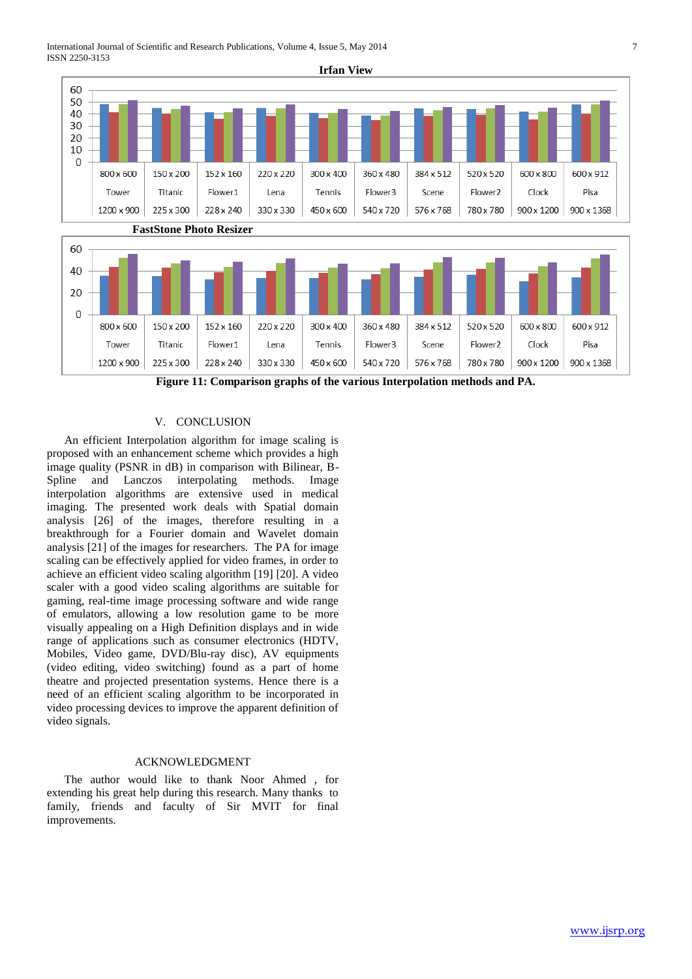International Journal of Scientific and Research Publications, Volume 4, Issue 5, May 2014 7 ISSN 2250-3153



**Figure 11: Comparison graphs of the various Interpolation methods and PA.**

### V. CONCLUSION

 An efficient Interpolation algorithm for image scaling is proposed with an enhancement scheme which provides a high image quality (PSNR in dB) in comparison with Bilinear, B-Spline and Lanczos interpolating methods. Image interpolation algorithms are extensive used in medical imaging. The presented work deals with Spatial domain analysis [26] of the images, therefore resulting in a breakthrough for a Fourier domain and Wavelet domain analysis [21] of the images for researchers. The PA for image scaling can be effectively applied for video frames, in order to achieve an efficient video scaling algorithm [19] [20]. A video scaler with a good video scaling algorithms are suitable for gaming, real-time image processing software and wide range of emulators, allowing a low resolution game to be more visually appealing on a High Definition displays and in wide range of applications such as consumer electronics (HDTV, Mobiles, Video game, DVD/Blu-ray disc), AV equipments (video editing, video switching) found as a part of home theatre and projected presentation systems. Hence there is a need of an efficient scaling algorithm to be incorporated in video processing devices to improve the apparent definition of video signals.

# ACKNOWLEDGMENT

 The author would like to thank Noor Ahmed , for extending his great help during this research. Many thanks to family, friends and faculty of Sir MVIT for final improvements.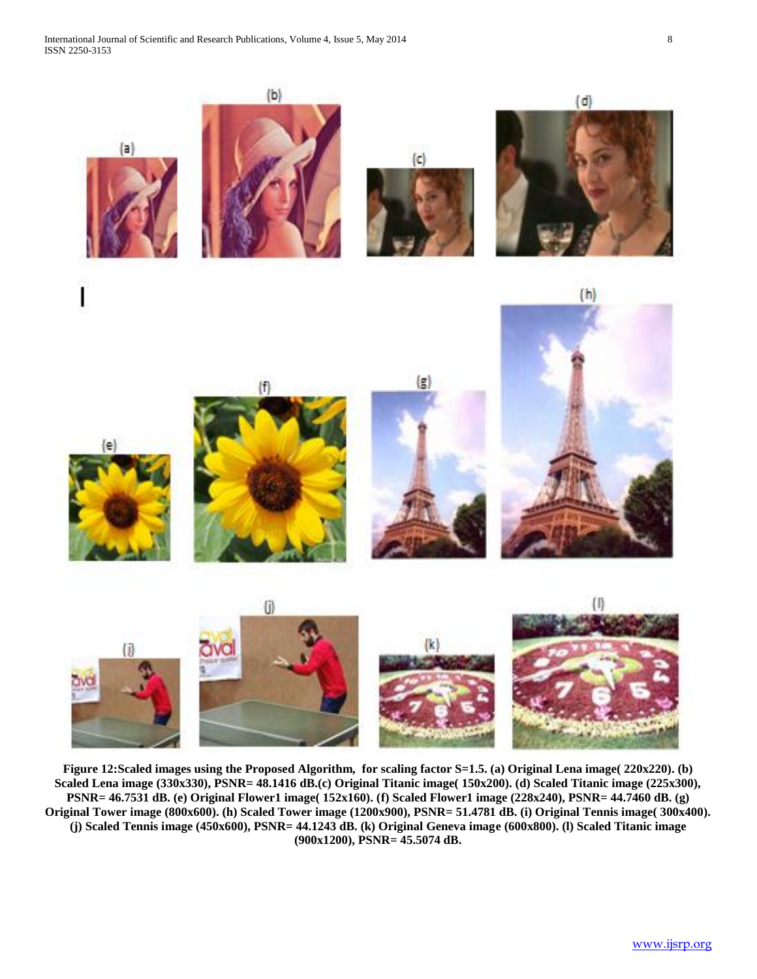

**Figure 12:Scaled images using the Proposed Algorithm, for scaling factor S=1.5. (a) Original Lena image( 220x220). (b) Scaled Lena image (330x330), PSNR= 48.1416 dB.(c) Original Titanic image( 150x200). (d) Scaled Titanic image (225x300), PSNR= 46.7531 dB. (e) Original Flower1 image( 152x160). (f) Scaled Flower1 image (228x240), PSNR= 44.7460 dB. (g) Original Tower image (800x600). (h) Scaled Tower image (1200x900), PSNR= 51.4781 dB. (i) Original Tennis image( 300x400). (j) Scaled Tennis image (450x600), PSNR= 44.1243 dB. (k) Original Geneva image (600x800). (l) Scaled Titanic image (900x1200), PSNR= 45.5074 dB.**